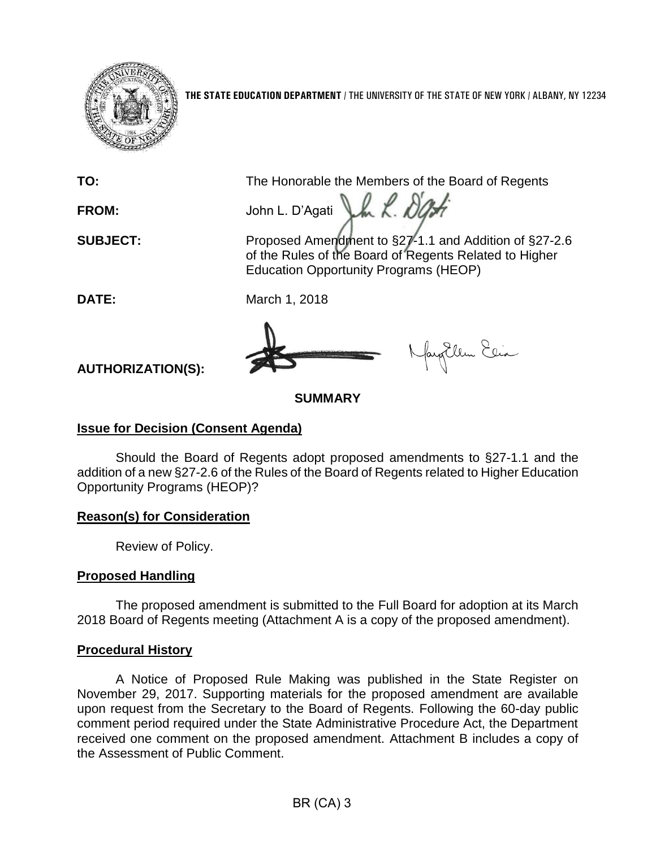

**THE STATE EDUCATION DEPARTMENT** / THE UNIVERSITY OF THE STATE OF NEW YORK / ALBANY, NY 12234

**TO:** The Honorable the Members of the Board of Regents

**FROM:** John L. D'Agati LA K. DO

**SUBJECT:** Proposed Amendment to §27-1.1 and Addition of §27-2.6 of the Rules of the Board of Regents Related to Higher Education Opportunity Programs (HEOP)

**DATE:** March 1, 2018

fayEllen Elia

**AUTHORIZATION(S):**

# **SUMMARY**

## **Issue for Decision (Consent Agenda)**

Should the Board of Regents adopt proposed amendments to §27-1.1 and the addition of a new §27-2.6 of the Rules of the Board of Regents related to Higher Education Opportunity Programs (HEOP)?

### **Reason(s) for Consideration**

Review of Policy.

## **Proposed Handling**

The proposed amendment is submitted to the Full Board for adoption at its March 2018 Board of Regents meeting (Attachment A is a copy of the proposed amendment).

### **Procedural History**

A Notice of Proposed Rule Making was published in the State Register on November 29, 2017. Supporting materials for the proposed amendment are available upon request from the Secretary to the Board of Regents. Following the 60-day public comment period required under the State Administrative Procedure Act, the Department received one comment on the proposed amendment. Attachment B includes a copy of the Assessment of Public Comment.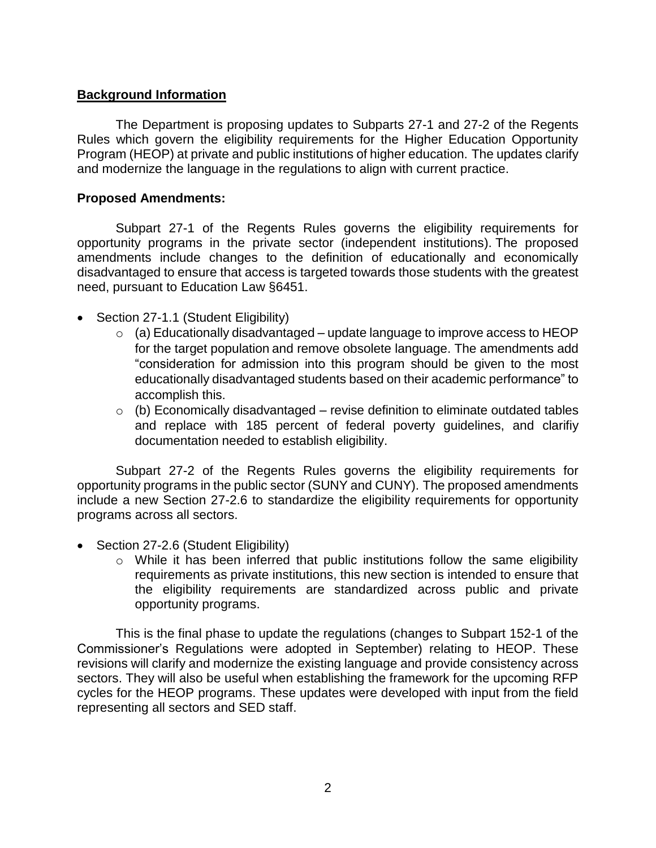### **Background Information**

The Department is proposing updates to Subparts 27-1 and 27-2 of the Regents Rules which govern the eligibility requirements for the Higher Education Opportunity Program (HEOP) at private and public institutions of higher education. The updates clarify and modernize the language in the regulations to align with current practice.

### **Proposed Amendments:**

Subpart 27-1 of the Regents Rules governs the eligibility requirements for opportunity programs in the private sector (independent institutions). The proposed amendments include changes to the definition of educationally and economically disadvantaged to ensure that access is targeted towards those students with the greatest need, pursuant to Education Law §6451.

- Section 27-1.1 (Student Eligibility)
	- $\circ$  (a) Educationally disadvantaged update language to improve access to HEOP for the target population and remove obsolete language. The amendments add "consideration for admission into this program should be given to the most educationally disadvantaged students based on their academic performance" to accomplish this.
	- $\circ$  (b) Economically disadvantaged revise definition to eliminate outdated tables and replace with 185 percent of federal poverty guidelines, and clarifiy documentation needed to establish eligibility.

Subpart 27-2 of the Regents Rules governs the eligibility requirements for opportunity programs in the public sector (SUNY and CUNY). The proposed amendments include a new Section 27-2.6 to standardize the eligibility requirements for opportunity programs across all sectors.

- Section 27-2.6 (Student Eligibility)
	- o While it has been inferred that public institutions follow the same eligibility requirements as private institutions, this new section is intended to ensure that the eligibility requirements are standardized across public and private opportunity programs.

This is the final phase to update the regulations (changes to Subpart 152-1 of the Commissioner's Regulations were adopted in September) relating to HEOP. These revisions will clarify and modernize the existing language and provide consistency across sectors. They will also be useful when establishing the framework for the upcoming RFP cycles for the HEOP programs. These updates were developed with input from the field representing all sectors and SED staff.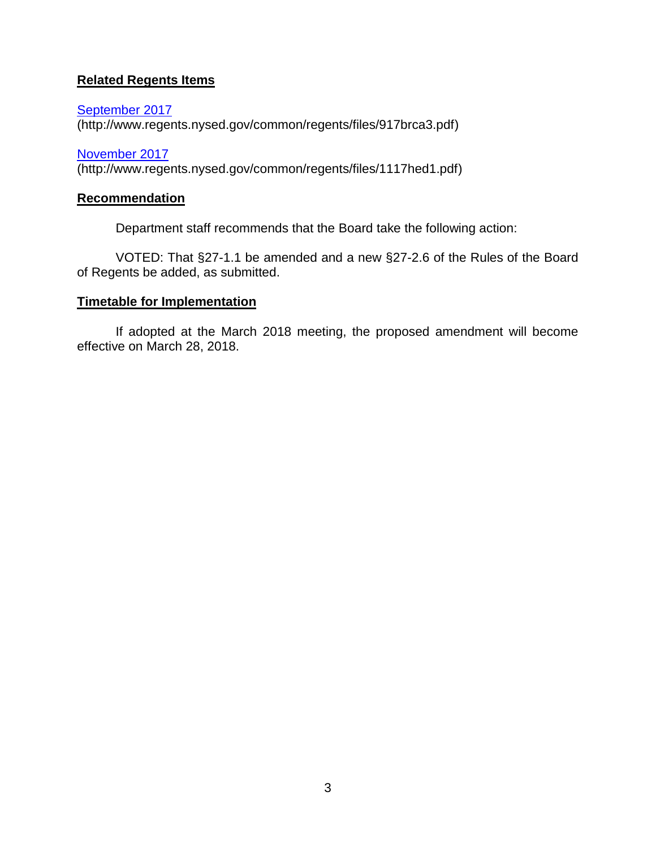## **Related Regents Items**

[September 2017](http://www.regents.nysed.gov/common/regents/files/917brca3.pdf) (http://www.regents.nysed.gov/common/regents/files/917brca3.pdf)

[November 2017](http://www.regents.nysed.gov/common/regents/files/1117hed1.pdf)  (http://www.regents.nysed.gov/common/regents/files/1117hed1.pdf)

#### **Recommendation**

Department staff recommends that the Board take the following action:

VOTED: That §27-1.1 be amended and a new §27-2.6 of the Rules of the Board of Regents be added, as submitted.

## **Timetable for Implementation**

If adopted at the March 2018 meeting, the proposed amendment will become effective on March 28, 2018.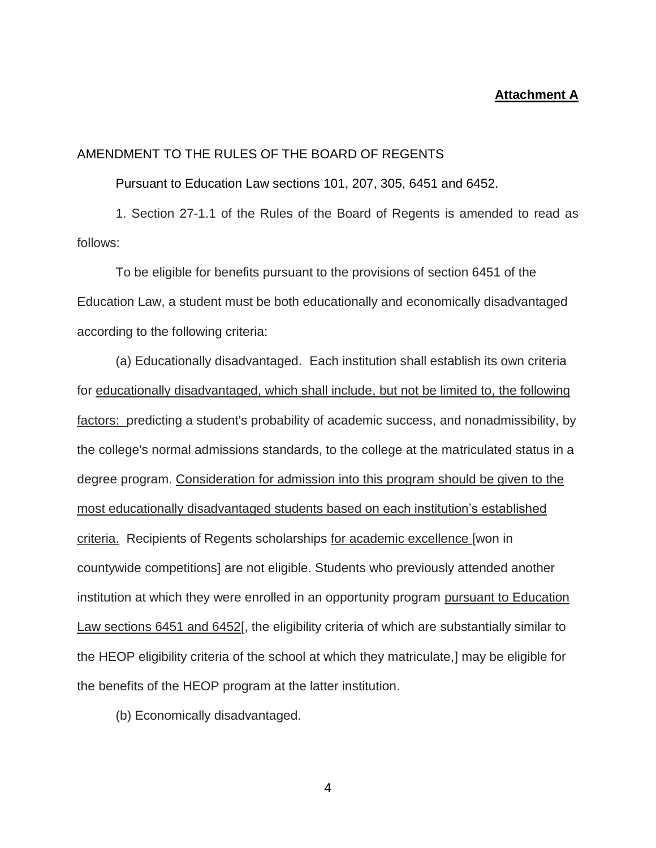#### **Attachment A**

#### AMENDMENT TO THE RULES OF THE BOARD OF REGENTS

Pursuant to Education Law sections 101, 207, 305, 6451 and 6452.

1. Section 27-1.1 of the Rules of the Board of Regents is amended to read as follows:

To be eligible for benefits pursuant to the provisions of section 6451 of the Education Law, a student must be both educationally and economically disadvantaged according to the following criteria:

(a) Educationally disadvantaged. Each institution shall establish its own criteria for educationally disadvantaged, which shall include, but not be limited to, the following factors: predicting a student's probability of academic success, and nonadmissibility, by the college's normal admissions standards, to the college at the matriculated status in a degree program. Consideration for admission into this program should be given to the most educationally disadvantaged students based on each institution's established criteria. Recipients of Regents scholarships for academic excellence [won in countywide competitions] are not eligible. Students who previously attended another institution at which they were enrolled in an opportunity program pursuant to Education Law sections 6451 and 6452[, the eligibility criteria of which are substantially similar to the HEOP eligibility criteria of the school at which they matriculate,] may be eligible for the benefits of the HEOP program at the latter institution.

(b) Economically disadvantaged.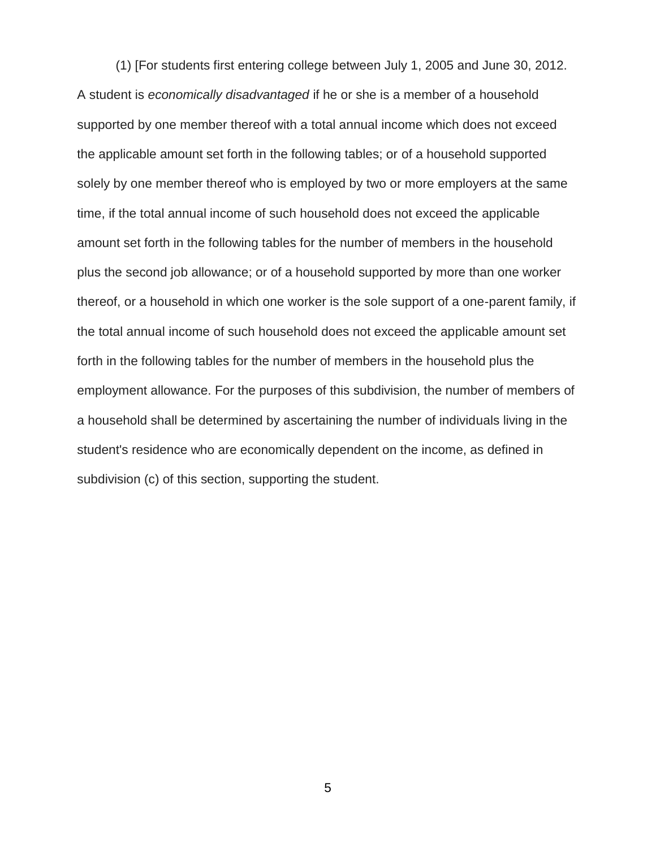(1) [For students first entering college between July 1, 2005 and June 30, 2012. A student is *economically disadvantaged* if he or she is a member of a household supported by one member thereof with a total annual income which does not exceed the applicable amount set forth in the following tables; or of a household supported solely by one member thereof who is employed by two or more employers at the same time, if the total annual income of such household does not exceed the applicable amount set forth in the following tables for the number of members in the household plus the second job allowance; or of a household supported by more than one worker thereof, or a household in which one worker is the sole support of a one-parent family, if the total annual income of such household does not exceed the applicable amount set forth in the following tables for the number of members in the household plus the employment allowance. For the purposes of this subdivision, the number of members of a household shall be determined by ascertaining the number of individuals living in the student's residence who are economically dependent on the income, as defined in subdivision (c) of this section, supporting the student.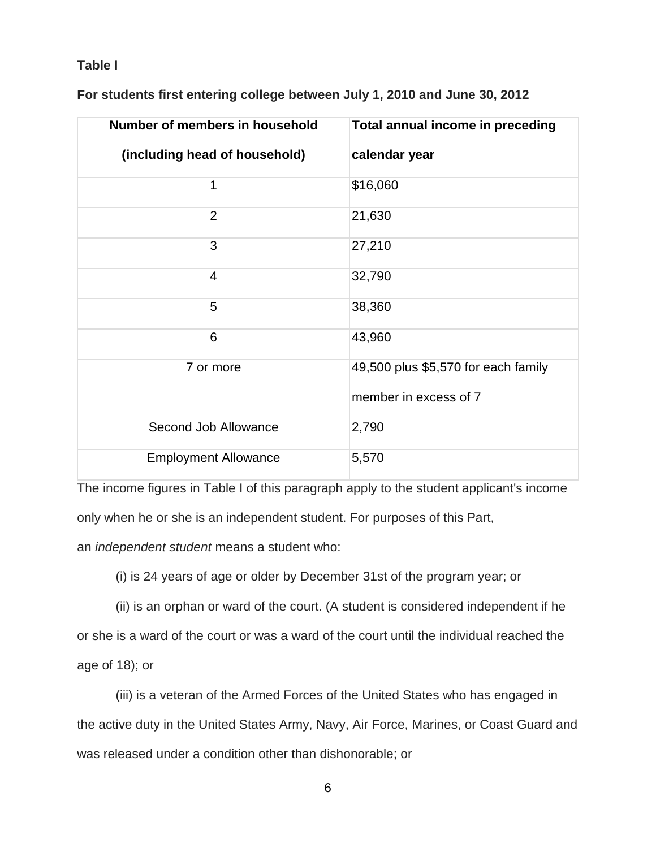#### **Table I**

| Number of members in household | Total annual income in preceding                             |
|--------------------------------|--------------------------------------------------------------|
| (including head of household)  | calendar year                                                |
| 1                              | \$16,060                                                     |
| $\overline{2}$                 | 21,630                                                       |
| 3                              | 27,210                                                       |
| 4                              | 32,790                                                       |
| 5                              | 38,360                                                       |
| 6                              | 43,960                                                       |
| 7 or more                      | 49,500 plus \$5,570 for each family<br>member in excess of 7 |
| Second Job Allowance           | 2,790                                                        |
| <b>Employment Allowance</b>    | 5,570                                                        |

**For students first entering college between July 1, 2010 and June 30, 2012**

The income figures in Table I of this paragraph apply to the student applicant's income only when he or she is an independent student. For purposes of this Part,

an *independent student* means a student who:

(i) is 24 years of age or older by December 31st of the program year; or

(ii) is an orphan or ward of the court. (A student is considered independent if he or she is a ward of the court or was a ward of the court until the individual reached the age of 18); or

(iii) is a veteran of the Armed Forces of the United States who has engaged in the active duty in the United States Army, Navy, Air Force, Marines, or Coast Guard and was released under a condition other than dishonorable; or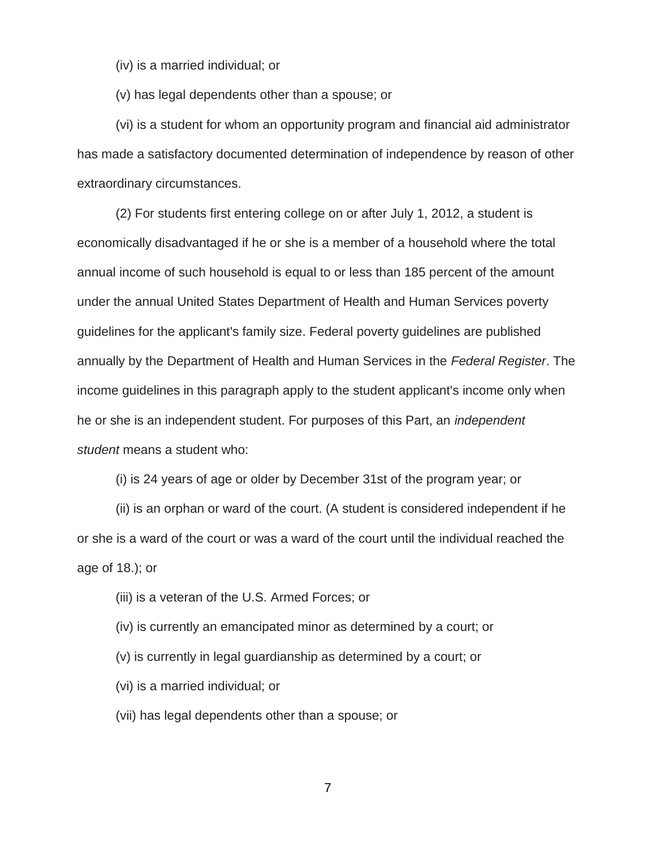(iv) is a married individual; or

(v) has legal dependents other than a spouse; or

(vi) is a student for whom an opportunity program and financial aid administrator has made a satisfactory documented determination of independence by reason of other extraordinary circumstances.

(2) For students first entering college on or after July 1, 2012, a student is economically disadvantaged if he or she is a member of a household where the total annual income of such household is equal to or less than 185 percent of the amount under the annual United States Department of Health and Human Services poverty guidelines for the applicant's family size. Federal poverty guidelines are published annually by the Department of Health and Human Services in the *Federal Register*. The income guidelines in this paragraph apply to the student applicant's income only when he or she is an independent student. For purposes of this Part, an *independent student* means a student who:

(i) is 24 years of age or older by December 31st of the program year; or

(ii) is an orphan or ward of the court. (A student is considered independent if he or she is a ward of the court or was a ward of the court until the individual reached the age of 18.); or

- (iii) is a veteran of the U.S. Armed Forces; or
- (iv) is currently an emancipated minor as determined by a court; or
- (v) is currently in legal guardianship as determined by a court; or
- (vi) is a married individual; or
- (vii) has legal dependents other than a spouse; or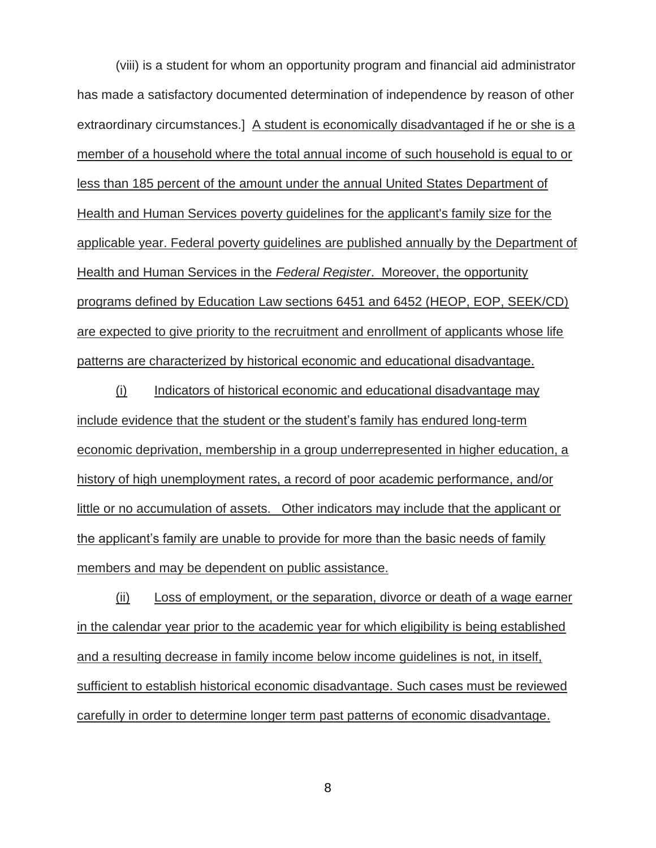(viii) is a student for whom an opportunity program and financial aid administrator has made a satisfactory documented determination of independence by reason of other extraordinary circumstances.] A student is economically disadvantaged if he or she is a member of a household where the total annual income of such household is equal to or less than 185 percent of the amount under the annual United States Department of Health and Human Services poverty guidelines for the applicant's family size for the applicable year. Federal poverty guidelines are published annually by the Department of Health and Human Services in the *Federal Register*. Moreover, the opportunity programs defined by Education Law sections 6451 and 6452 (HEOP, EOP, SEEK/CD) are expected to give priority to the recruitment and enrollment of applicants whose life patterns are characterized by historical economic and educational disadvantage.

(i) Indicators of historical economic and educational disadvantage may include evidence that the student or the student's family has endured long-term economic deprivation, membership in a group underrepresented in higher education, a history of high unemployment rates, a record of poor academic performance, and/or little or no accumulation of assets. Other indicators may include that the applicant or the applicant's family are unable to provide for more than the basic needs of family members and may be dependent on public assistance.

(ii) Loss of employment, or the separation, divorce or death of a wage earner in the calendar year prior to the academic year for which eligibility is being established and a resulting decrease in family income below income guidelines is not, in itself, sufficient to establish historical economic disadvantage. Such cases must be reviewed carefully in order to determine longer term past patterns of economic disadvantage.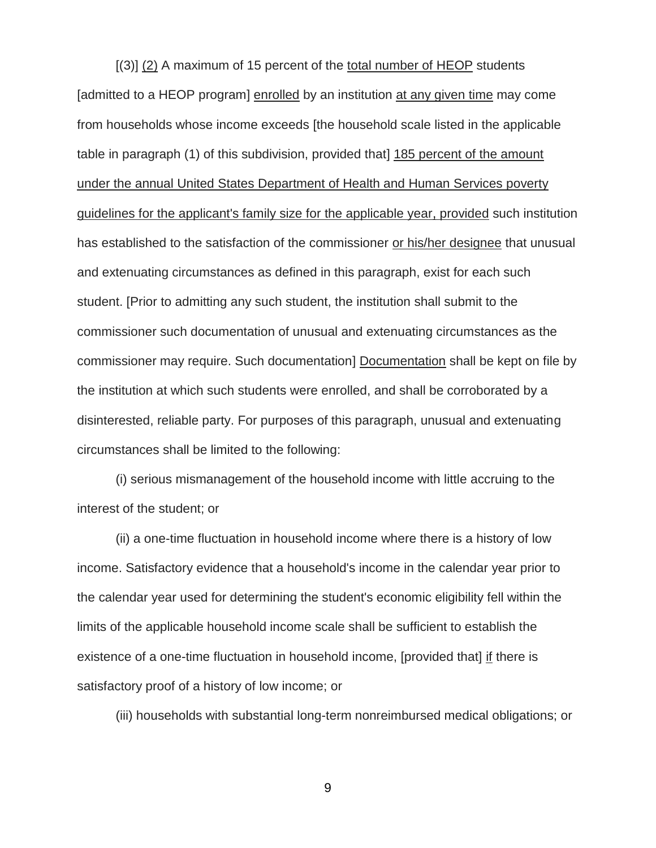[(3)] (2) A maximum of 15 percent of the total number of HEOP students [admitted to a HEOP program] enrolled by an institution at any given time may come from households whose income exceeds [the household scale listed in the applicable table in paragraph (1) of this subdivision, provided that] 185 percent of the amount under the annual United States Department of Health and Human Services poverty guidelines for the applicant's family size for the applicable year, provided such institution has established to the satisfaction of the commissioner or his/her designee that unusual and extenuating circumstances as defined in this paragraph, exist for each such student. [Prior to admitting any such student, the institution shall submit to the commissioner such documentation of unusual and extenuating circumstances as the commissioner may require. Such documentation] Documentation shall be kept on file by the institution at which such students were enrolled, and shall be corroborated by a disinterested, reliable party. For purposes of this paragraph, unusual and extenuating circumstances shall be limited to the following:

(i) serious mismanagement of the household income with little accruing to the interest of the student; or

(ii) a one-time fluctuation in household income where there is a history of low income. Satisfactory evidence that a household's income in the calendar year prior to the calendar year used for determining the student's economic eligibility fell within the limits of the applicable household income scale shall be sufficient to establish the existence of a one-time fluctuation in household income, [provided that] if there is satisfactory proof of a history of low income; or

(iii) households with substantial long-term nonreimbursed medical obligations; or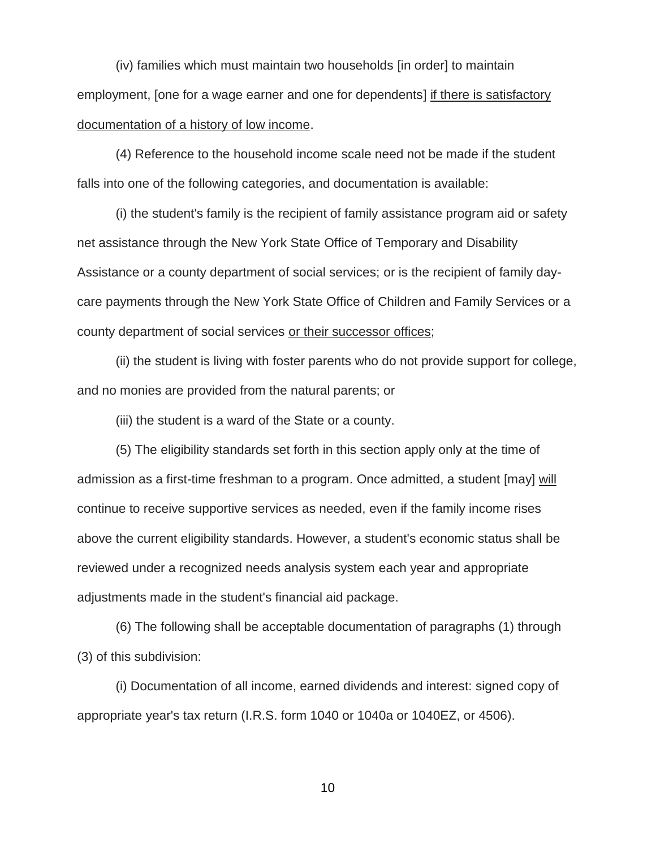(iv) families which must maintain two households [in order] to maintain employment, [one for a wage earner and one for dependents] if there is satisfactory documentation of a history of low income.

(4) Reference to the household income scale need not be made if the student falls into one of the following categories, and documentation is available:

(i) the student's family is the recipient of family assistance program aid or safety net assistance through the New York State Office of Temporary and Disability Assistance or a county department of social services; or is the recipient of family daycare payments through the New York State Office of Children and Family Services or a county department of social services or their successor offices;

(ii) the student is living with foster parents who do not provide support for college, and no monies are provided from the natural parents; or

(iii) the student is a ward of the State or a county.

(5) The eligibility standards set forth in this section apply only at the time of admission as a first-time freshman to a program. Once admitted, a student [may] will continue to receive supportive services as needed, even if the family income rises above the current eligibility standards. However, a student's economic status shall be reviewed under a recognized needs analysis system each year and appropriate adjustments made in the student's financial aid package.

(6) The following shall be acceptable documentation of paragraphs (1) through (3) of this subdivision:

(i) Documentation of all income, earned dividends and interest: signed copy of appropriate year's tax return (I.R.S. form 1040 or 1040a or 1040EZ, or 4506).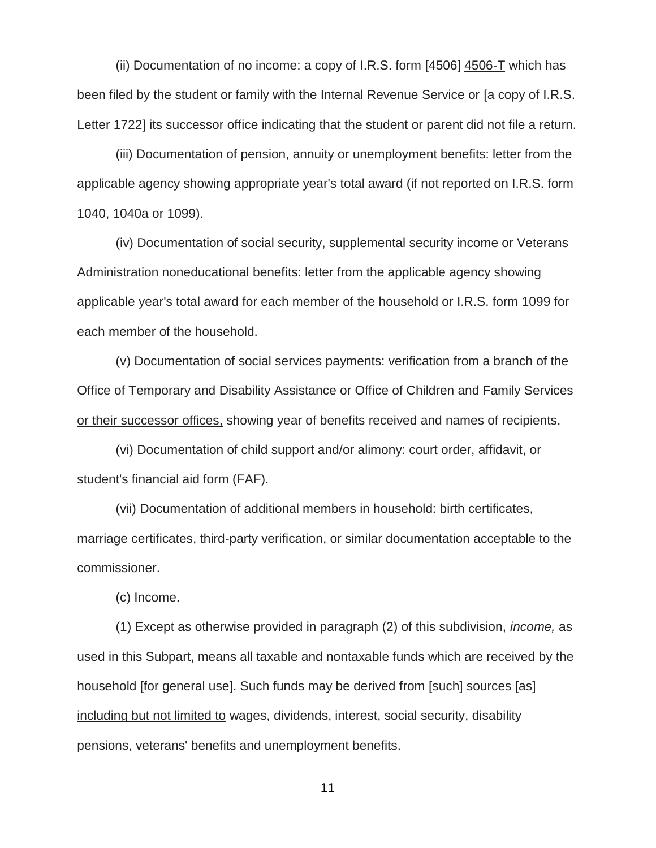(ii) Documentation of no income: a copy of I.R.S. form [4506] 4506-T which has been filed by the student or family with the Internal Revenue Service or [a copy of I.R.S. Letter 1722] its successor office indicating that the student or parent did not file a return.

(iii) Documentation of pension, annuity or unemployment benefits: letter from the applicable agency showing appropriate year's total award (if not reported on I.R.S. form 1040, 1040a or 1099).

(iv) Documentation of social security, supplemental security income or Veterans Administration noneducational benefits: letter from the applicable agency showing applicable year's total award for each member of the household or I.R.S. form 1099 for each member of the household.

(v) Documentation of social services payments: verification from a branch of the Office of Temporary and Disability Assistance or Office of Children and Family Services or their successor offices, showing year of benefits received and names of recipients.

(vi) Documentation of child support and/or alimony: court order, affidavit, or student's financial aid form (FAF).

(vii) Documentation of additional members in household: birth certificates, marriage certificates, third-party verification, or similar documentation acceptable to the commissioner.

(c) Income.

(1) Except as otherwise provided in paragraph (2) of this subdivision, *income,* as used in this Subpart, means all taxable and nontaxable funds which are received by the household [for general use]. Such funds may be derived from [such] sources [as] including but not limited to wages, dividends, interest, social security, disability pensions, veterans' benefits and unemployment benefits.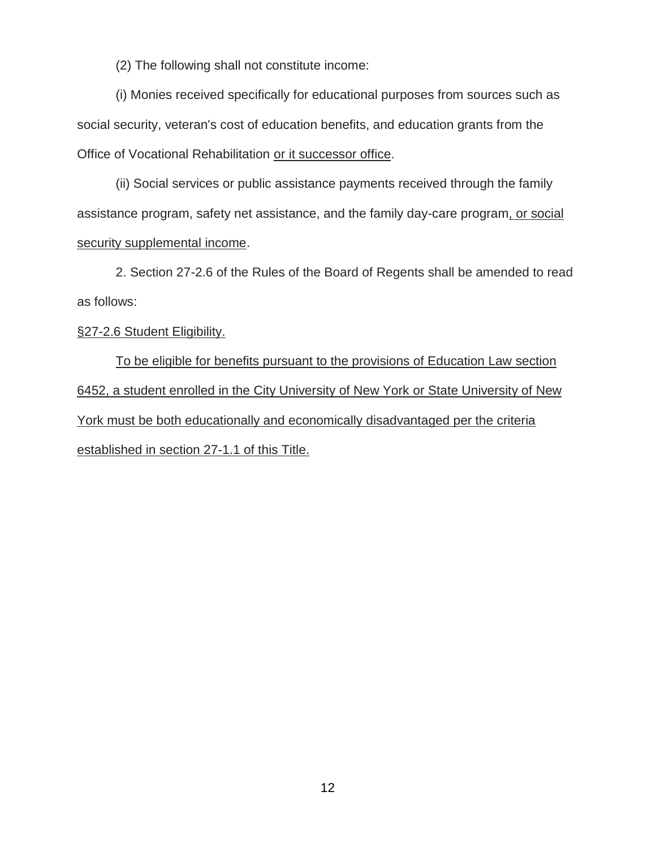(2) The following shall not constitute income:

(i) Monies received specifically for educational purposes from sources such as social security, veteran's cost of education benefits, and education grants from the Office of Vocational Rehabilitation or it successor office.

(ii) Social services or public assistance payments received through the family assistance program, safety net assistance, and the family day-care program, or social security supplemental income.

2. Section 27-2.6 of the Rules of the Board of Regents shall be amended to read as follows:

#### §27-2.6 Student Eligibility.

To be eligible for benefits pursuant to the provisions of Education Law section 6452, a student enrolled in the City University of New York or State University of New York must be both educationally and economically disadvantaged per the criteria established in section 27-1.1 of this Title.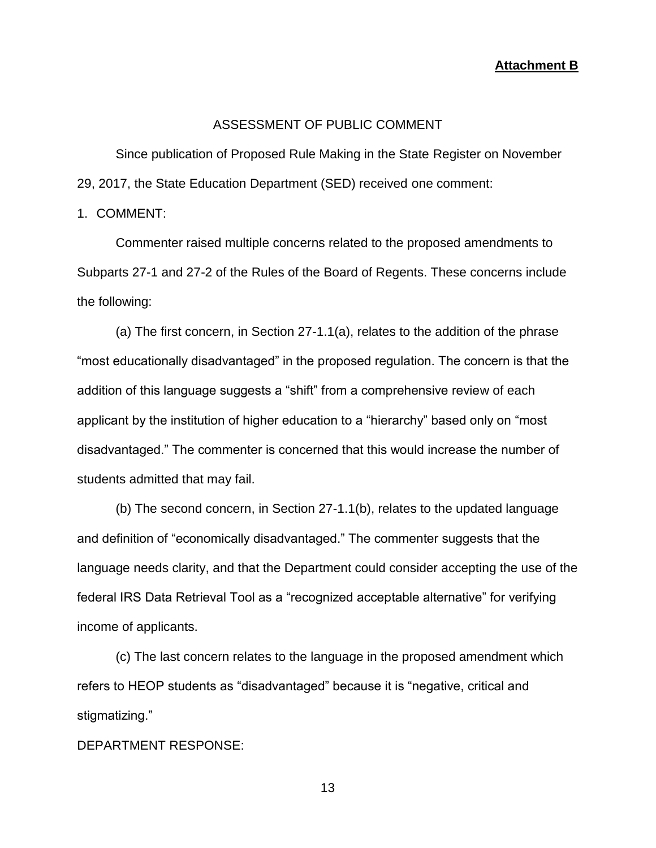**Attachment B**

#### ASSESSMENT OF PUBLIC COMMENT

Since publication of Proposed Rule Making in the State Register on November 29, 2017, the State Education Department (SED) received one comment:

1. COMMENT:

Commenter raised multiple concerns related to the proposed amendments to Subparts 27-1 and 27-2 of the Rules of the Board of Regents. These concerns include the following:

(a) The first concern, in Section 27-1.1(a), relates to the addition of the phrase "most educationally disadvantaged" in the proposed regulation. The concern is that the addition of this language suggests a "shift" from a comprehensive review of each applicant by the institution of higher education to a "hierarchy" based only on "most disadvantaged." The commenter is concerned that this would increase the number of students admitted that may fail.

(b) The second concern, in Section 27-1.1(b), relates to the updated language and definition of "economically disadvantaged." The commenter suggests that the language needs clarity, and that the Department could consider accepting the use of the federal IRS Data Retrieval Tool as a "recognized acceptable alternative" for verifying income of applicants.

(c) The last concern relates to the language in the proposed amendment which refers to HEOP students as "disadvantaged" because it is "negative, critical and stigmatizing."

DEPARTMENT RESPONSE: